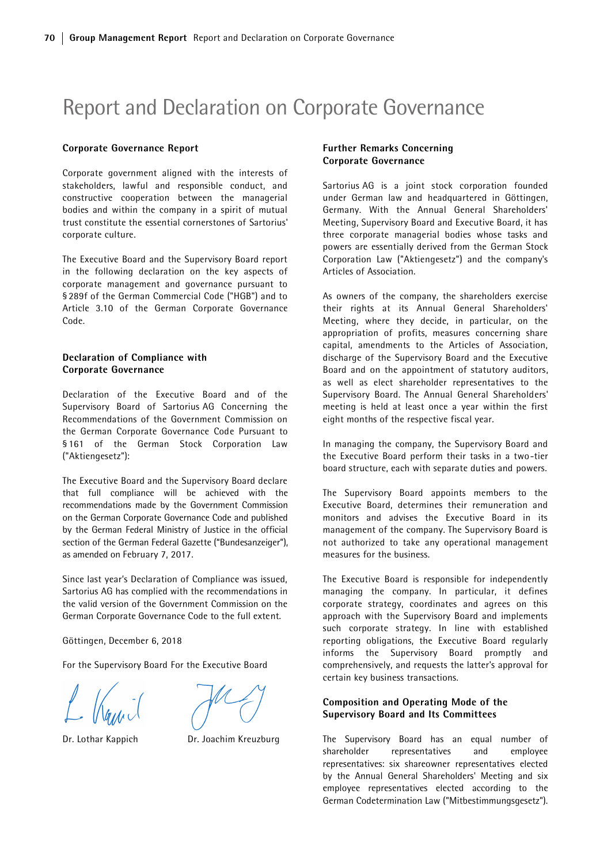# Report and Declaration on Corporate Governance

#### Corporate Governance Report

Corporate government aligned with the interests of stakeholders, lawful and responsible conduct, and constructive cooperation between the managerial bodies and within the company in a spirit of mutual trust constitute the essential cornerstones of Sartorius' corporate culture.

The Executive Board and the Supervisory Board report in the following declaration on the key aspects of corporate management and governance pursuant to § 289f of the German Commercial Code ("HGB") and to Article 3.10 of the German Corporate Governance Code.

# Declaration of Compliance with Corporate Governance

Declaration of the Executive Board and of the Supervisory Board of Sartorius AG Concerning the Recommendations of the Government Commission on the German Corporate Governance Code Pursuant to § 161 of the German Stock Corporation Law ("Aktiengesetz"):

The Executive Board and the Supervisory Board declare that full compliance will be achieved with the recommendations made by the Government Commission on the German Corporate Governance Code and published by the German Federal Ministry of Justice in the official section of the German Federal Gazette ("Bundesanzeiger"), as amended on February 7, 2017.

Since last year's Declaration of Compliance was issued, Sartorius AG has complied with the recommendations in the valid version of the Government Commission on the German Corporate Governance Code to the full extent.

Göttingen, December 6, 2018

For the Supervisory Board For the Executive Board



Dr. Lothar Kappich Dr. Joachim Kreuzburg

## Further Remarks Concerning Corporate Governance

Sartorius AG is a joint stock corporation founded under German law and headquartered in Göttingen, Germany. With the Annual General Shareholders' Meeting, Supervisory Board and Executive Board, it has three corporate managerial bodies whose tasks and powers are essentially derived from the German Stock Corporation Law ("Aktiengesetz") and the company's Articles of Association.

As owners of the company, the shareholders exercise their rights at its Annual General Shareholders' Meeting, where they decide, in particular, on the appropriation of profits, measures concerning share capital, amendments to the Articles of Association, discharge of the Supervisory Board and the Executive Board and on the appointment of statutory auditors, as well as elect shareholder representatives to the Supervisory Board. The Annual General Shareholders' meeting is held at least once a year within the first eight months of the respective fiscal year.

In managing the company, the Supervisory Board and the Executive Board perform their tasks in a two-tier board structure, each with separate duties and powers.

The Supervisory Board appoints members to the Executive Board, determines their remuneration and monitors and advises the Executive Board in its management of the company. The Supervisory Board is not authorized to take any operational management measures for the business.

The Executive Board is responsible for independently managing the company. In particular, it defines corporate strategy, coordinates and agrees on this approach with the Supervisory Board and implements such corporate strategy. In line with established reporting obligations, the Executive Board regularly informs the Supervisory Board promptly and comprehensively, and requests the latter's approval for certain key business transactions.

# Composition and Operating Mode of the Supervisory Board and Its Committees

The Supervisory Board has an equal number of shareholder representatives and employee representatives: six shareowner representatives elected by the Annual General Shareholders' Meeting and six employee representatives elected according to the German Codetermination Law ("Mitbestimmungsgesetz").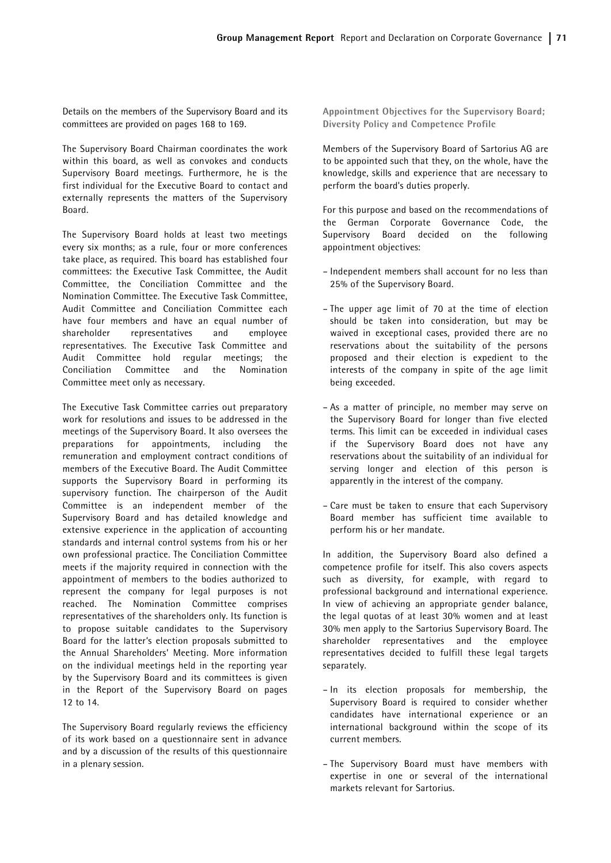Details on the members of the Supervisory Board and its committees are provided on pages 168 to 169.

The Supervisory Board Chairman coordinates the work within this board, as well as convokes and conducts Supervisory Board meetings. Furthermore, he is the first individual for the Executive Board to contact and externally represents the matters of the Supervisory Board.

The Supervisory Board holds at least two meetings every six months; as a rule, four or more conferences take place, as required. This board has established four committees: the Executive Task Committee, the Audit Committee, the Conciliation Committee and the Nomination Committee. The Executive Task Committee, Audit Committee and Conciliation Committee each have four members and have an equal number of shareholder representatives and employee representatives. The Executive Task Committee and Audit Committee hold regular meetings; the Conciliation Committee and the Nomination Committee meet only as necessary.

The Executive Task Committee carries out preparatory work for resolutions and issues to be addressed in the meetings of the Supervisory Board. It also oversees the preparations for appointments, including the remuneration and employment contract conditions of members of the Executive Board. The Audit Committee supports the Supervisory Board in performing its supervisory function. The chairperson of the Audit Committee is an independent member of the Supervisory Board and has detailed knowledge and extensive experience in the application of accounting standards and internal control systems from his or her own professional practice. The Conciliation Committee meets if the majority required in connection with the appointment of members to the bodies authorized to represent the company for legal purposes is not reached. The Nomination Committee comprises representatives of the shareholders only. Its function is to propose suitable candidates to the Supervisory Board for the latter's election proposals submitted to the Annual Shareholders' Meeting. More information on the individual meetings held in the reporting year by the Supervisory Board and its committees is given in the Report of the Supervisory Board on pages 12 to 14.

The Supervisory Board regularly reviews the efficiency of its work based on a questionnaire sent in advance and by a discussion of the results of this questionnaire in a plenary session.

Appointment Objectives for the Supervisory Board; Diversity Policy and Competence Profile

Members of the Supervisory Board of Sartorius AG are to be appointed such that they, on the whole, have the knowledge, skills and experience that are necessary to perform the board's duties properly.

For this purpose and based on the recommendations of the German Corporate Governance Code, the Supervisory Board decided on the following appointment objectives:

- Independent members shall account for no less than 25% of the Supervisory Board.
- The upper age limit of 70 at the time of election should be taken into consideration, but may be waived in exceptional cases, provided there are no reservations about the suitability of the persons proposed and their election is expedient to the interests of the company in spite of the age limit being exceeded.
- As a matter of principle, no member may serve on the Supervisory Board for longer than five elected terms. This limit can be exceeded in individual cases if the Supervisory Board does not have any reservations about the suitability of an individual for serving longer and election of this person is apparently in the interest of the company.
- Care must be taken to ensure that each Supervisory Board member has sufficient time available to perform his or her mandate.

In addition, the Supervisory Board also defined a competence profile for itself. This also covers aspects such as diversity, for example, with regard to professional background and international experience. In view of achieving an appropriate gender balance, the legal quotas of at least 30% women and at least 30% men apply to the Sartorius Supervisory Board. The shareholder representatives and the employee representatives decided to fulfill these legal targets separately.

- In its election proposals for membership, the Supervisory Board is required to consider whether candidates have international experience or an international background within the scope of its current members.
- The Supervisory Board must have members with expertise in one or several of the international markets relevant for Sartorius.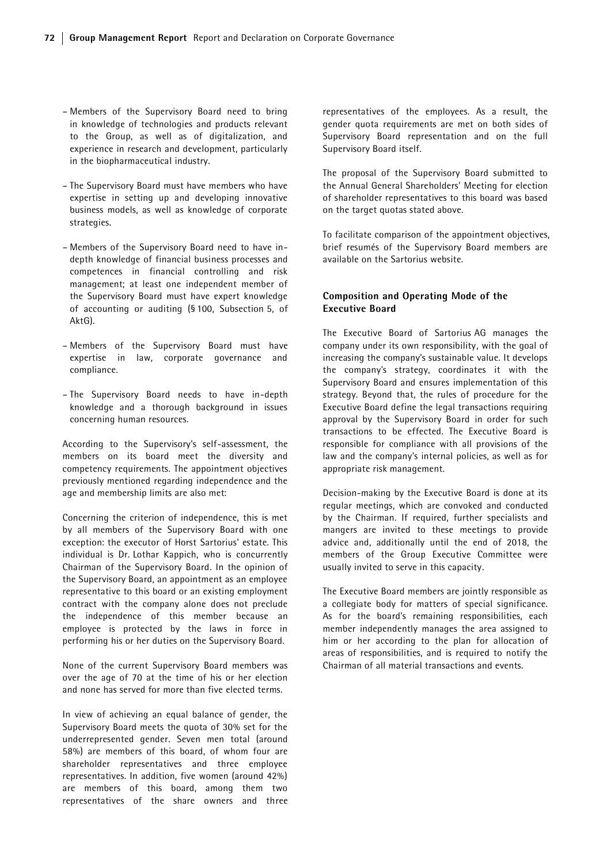- Members of the Supervisory Board need to bring in knowledge of technologies and products relevant to the Group, as well as of digitalization, and experience in research and development, particularly in the biopharmaceutical industry.
- The Supervisory Board must have members who have expertise in setting up and developing innovative business models, as well as knowledge of corporate strategies.
- Members of the Supervisory Board need to have indepth knowledge of financial business processes and competences in financial controlling and risk management; at least one independent member of the Supervisory Board must have expert knowledge of accounting or auditing (§ 100, Subsection 5, of AktG).
- Members of the Supervisory Board must have expertise in law, corporate governance and compliance.
- The Supervisory Board needs to have in-depth knowledge and a thorough background in issues concerning human resources.

According to the Supervisory's self-assessment, the members on its board meet the diversity and competency requirements. The appointment objectives previously mentioned regarding independence and the age and membership limits are also met:

Concerning the criterion of independence, this is met by all members of the Supervisory Board with one exception: the executor of Horst Sartorius' estate. This individual is Dr. Lothar Kappich, who is concurrently Chairman of the Supervisory Board. In the opinion of the Supervisory Board, an appointment as an employee representative to this board or an existing employment contract with the company alone does not preclude the independence of this member because an employee is protected by the laws in force in performing his or her duties on the Supervisory Board.

None of the current Supervisory Board members was over the age of 70 at the time of his or her election and none has served for more than five elected terms.

In view of achieving an equal balance of gender, the Supervisory Board meets the quota of 30% set for the underrepresented gender. Seven men total (around 58%) are members of this board, of whom four are shareholder representatives and three employee representatives. In addition, five women (around 42%) are members of this board, among them two representatives of the share owners and three

representatives of the employees. As a result, the gender quota requirements are met on both sides of Supervisory Board representation and on the full Supervisory Board itself.

The proposal of the Supervisory Board submitted to the Annual General Shareholders' Meeting for election of shareholder representatives to this board was based on the target quotas stated above.

To facilitate comparison of the appointment objectives, brief resumés of the Supervisory Board members are available on the Sartorius website.

## Composition and Operating Mode of the Executive Board

The Executive Board of Sartorius AG manages the company under its own responsibility, with the goal of increasing the company's sustainable value. It develops the company's strategy, coordinates it with the Supervisory Board and ensures implementation of this strategy. Beyond that, the rules of procedure for the Executive Board define the legal transactions requiring approval by the Supervisory Board in order for such transactions to be effected. The Executive Board is responsible for compliance with all provisions of the law and the company's internal policies, as well as for appropriate risk management.

Decision-making by the Executive Board is done at its regular meetings, which are convoked and conducted by the Chairman. If required, further specialists and mangers are invited to these meetings to provide advice and, additionally until the end of 2018, the members of the Group Executive Committee were usually invited to serve in this capacity.

The Executive Board members are jointly responsible as a collegiate body for matters of special significance. As for the board's remaining responsibilities, each member independently manages the area assigned to him or her according to the plan for allocation of areas of responsibilities, and is required to notify the Chairman of all material transactions and events.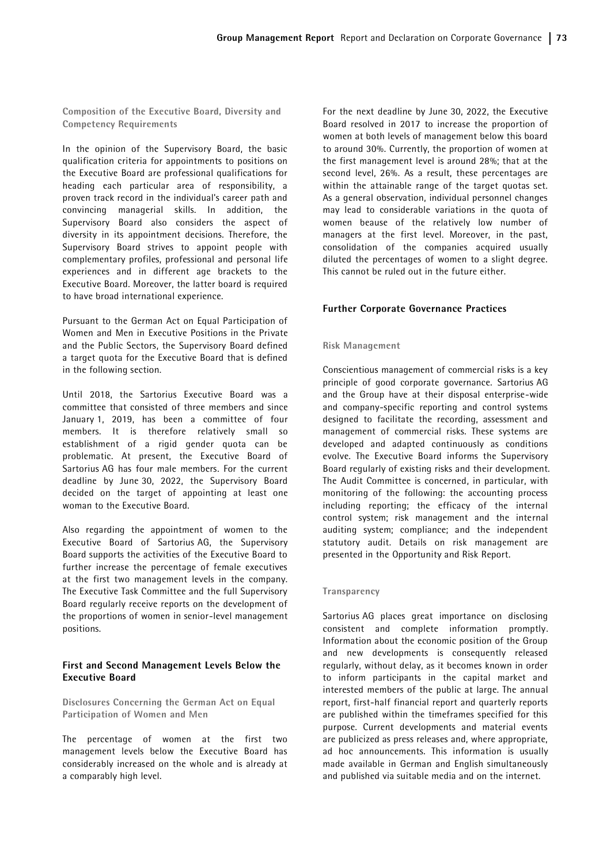Composition of the Executive Board, Diversity and Competency Requirements

In the opinion of the Supervisory Board, the basic qualification criteria for appointments to positions on the Executive Board are professional qualifications for heading each particular area of responsibility, a proven track record in the individual's career path and convincing managerial skills. In addition, the Supervisory Board also considers the aspect of diversity in its appointment decisions. Therefore, the Supervisory Board strives to appoint people with complementary profiles, professional and personal life experiences and in different age brackets to the Executive Board. Moreover, the latter board is required to have broad international experience.

Pursuant to the German Act on Equal Participation of Women and Men in Executive Positions in the Private and the Public Sectors, the Supervisory Board defined a target quota for the Executive Board that is defined in the following section.

Until 2018, the Sartorius Executive Board was a committee that consisted of three members and since January 1, 2019, has been a committee of four members. It is therefore relatively small so establishment of a rigid gender quota can be problematic. At present, the Executive Board of Sartorius AG has four male members. For the current deadline by June 30, 2022, the Supervisory Board decided on the target of appointing at least one woman to the Executive Board.

Also regarding the appointment of women to the Executive Board of Sartorius AG, the Supervisory Board supports the activities of the Executive Board to further increase the percentage of female executives at the first two management levels in the company. The Executive Task Committee and the full Supervisory Board regularly receive reports on the development of the proportions of women in senior-level management positions.

### First and Second Management Levels Below the Executive Board

Disclosures Concerning the German Act on Equal Participation of Women and Men

The percentage of women at the first two management levels below the Executive Board has considerably increased on the whole and is already at a comparably high level.

For the next deadline by June 30, 2022, the Executive Board resolved in 2017 to increase the proportion of women at both levels of management below this board to around 30%. Currently, the proportion of women at the first management level is around 28%; that at the second level, 26%. As a result, these percentages are within the attainable range of the target quotas set. As a general observation, individual personnel changes may lead to considerable variations in the quota of women beause of the relatively low number of managers at the first level. Moreover, in the past, consolidation of the companies acquired usually diluted the percentages of women to a slight degree. This cannot be ruled out in the future either.

# Further Corporate Governance Practices

#### Risk Management

Conscientious management of commercial risks is a key principle of good corporate governance. Sartorius AG and the Group have at their disposal enterprise-wide and company-specific reporting and control systems designed to facilitate the recording, assessment and management of commercial risks. These systems are developed and adapted continuously as conditions evolve. The Executive Board informs the Supervisory Board regularly of existing risks and their development. The Audit Committee is concerned, in particular, with monitoring of the following: the accounting process including reporting; the efficacy of the internal control system; risk management and the internal auditing system; compliance; and the independent statutory audit. Details on risk management are presented in the Opportunity and Risk Report.

#### Transparency

Sartorius AG places great importance on disclosing consistent and complete information promptly. Information about the economic position of the Group and new developments is consequently released regularly, without delay, as it becomes known in order to inform participants in the capital market and interested members of the public at large. The annual report, first-half financial report and quarterly reports are published within the timeframes specified for this purpose. Current developments and material events are publicized as press releases and, where appropriate, ad hoc announcements. This information is usually made available in German and English simultaneously and published via suitable media and on the internet.